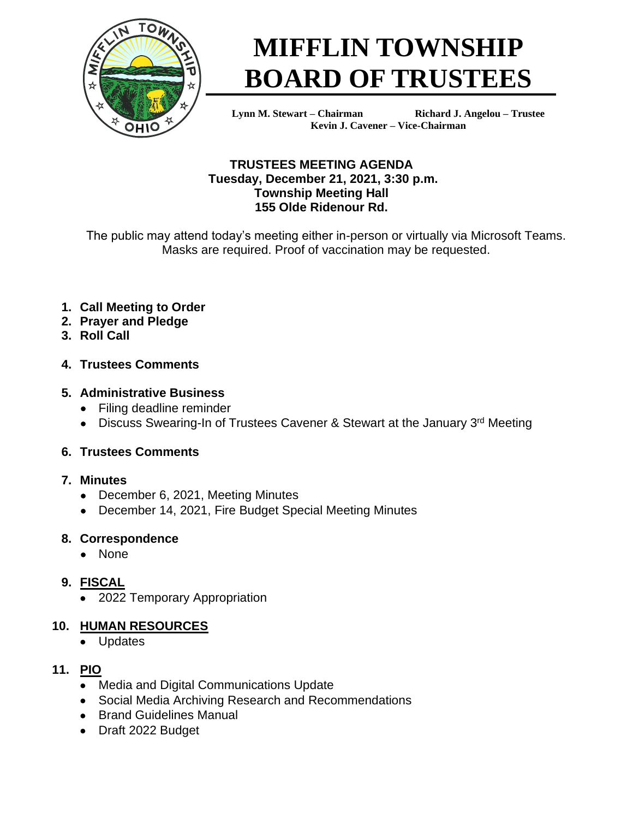

# **MIFFLIN TOWNSHIP BOARD OF TRUSTEES**

**Lynn M. Stewart – Chairman Richard J. Angelou – Trustee Kevin J. Cavener – Vice-Chairman** 

## **TRUSTEES MEETING AGENDA Tuesday, December 21, 2021, 3:30 p.m. Township Meeting Hall 155 Olde Ridenour Rd.**

The public may attend today's meeting either in-person or virtually via Microsoft Teams. Masks are required. Proof of vaccination may be requested.

# **1. Call Meeting to Order**

- **2. Prayer and Pledge**
- **3. Roll Call**

## **4. Trustees Comments**

## **5. Administrative Business**

- Filing deadline reminder
- Discuss Swearing-In of Trustees Cavener & Stewart at the January 3rd Meeting

# **6. Trustees Comments**

## **7. Minutes**

- December 6, 2021, Meeting Minutes
- December 14, 2021, Fire Budget Special Meeting Minutes

# **8. Correspondence**

• None

# **9. FISCAL**

• 2022 Temporary Appropriation

# **10. HUMAN RESOURCES**

**Updates** 

# **11. PIO**

- Media and Digital Communications Update
- Social Media Archiving Research and Recommendations
- Brand Guidelines Manual
- Draft 2022 Budget